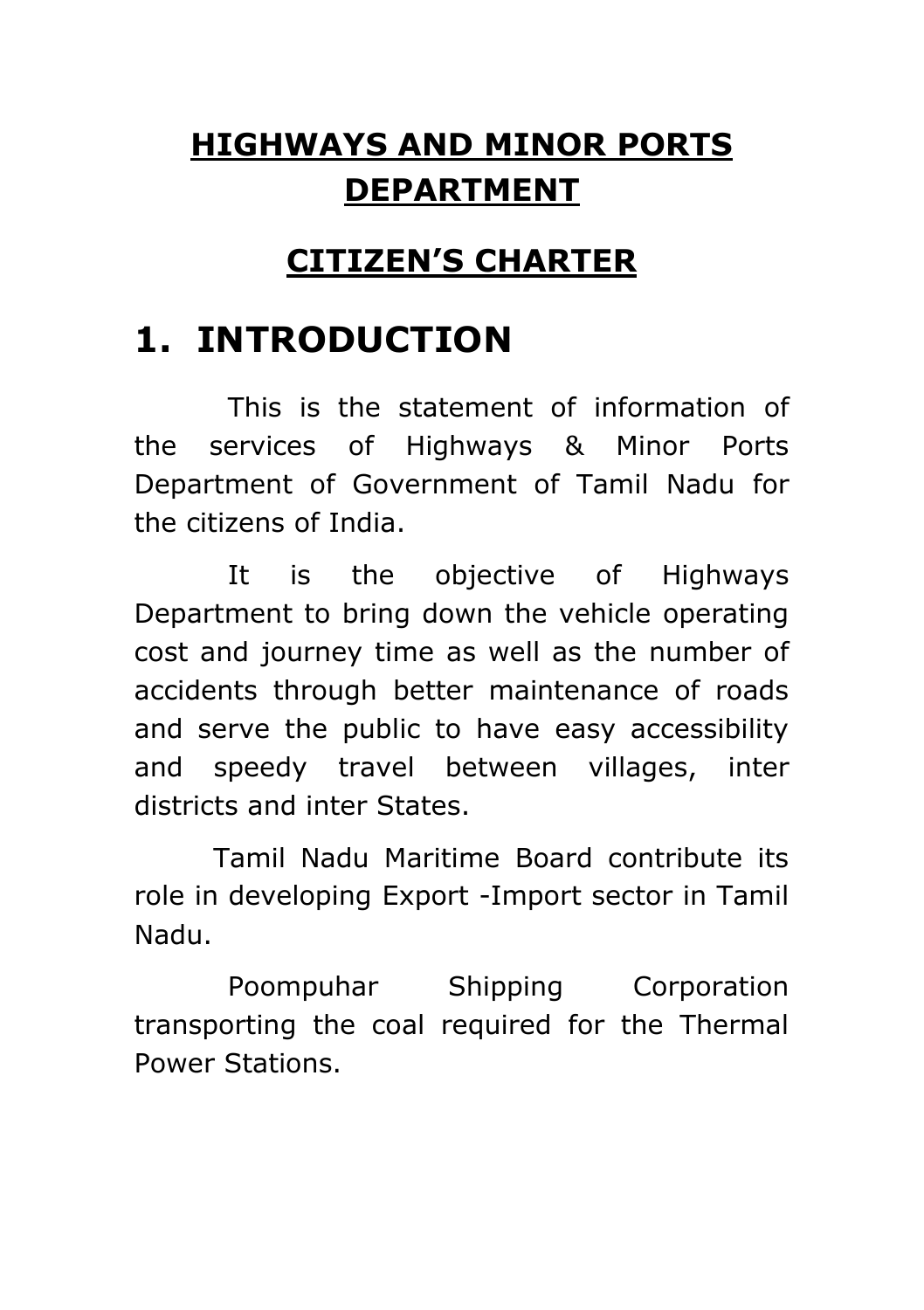#### **HIGHWAYS AND MINOR PORTS DEPARTMENT**

#### **CITIZEN'S CHARTER**

#### **1. INTRODUCTION**

This is the statement of information of the services of Highways & Minor Ports Department of Government of Tamil Nadu for the citizens of India.

It is the objective of Highways Department to bring down the vehicle operating cost and journey time as well as the number of accidents through better maintenance of roads and serve the public to have easy accessibility and speedy travel between villages, inter districts and inter States.

Tamil Nadu Maritime Board contribute its role in developing Export -Import sector in Tamil Nadu.

Poompuhar Shipping Corporation transporting the coal required for the Thermal Power Stations.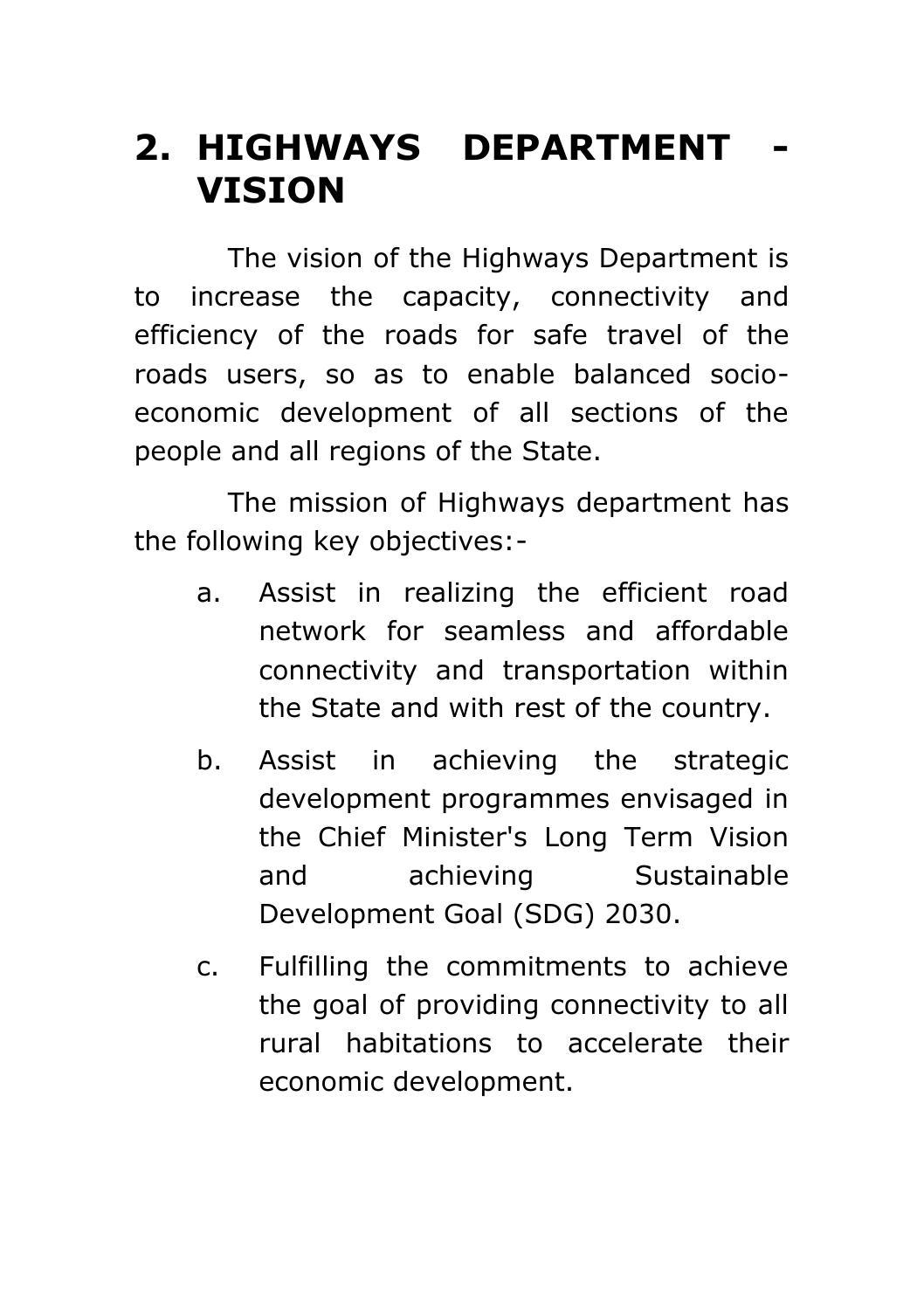#### **2. HIGHWAYS DEPARTMENT - VISION**

The vision of the Highways Department is to increase the capacity, connectivity and efficiency of the roads for safe travel of the roads users, so as to enable balanced socioeconomic development of all sections of the people and all regions of the State.

The mission of Highways department has the following key objectives:-

- a. Assist in realizing the efficient road network for seamless and affordable connectivity and transportation within the State and with rest of the country.
- b. Assist in achieving the strategic development programmes envisaged in the Chief Minister's Long Term Vision and achieving Sustainable Development Goal (SDG) 2030.
- c. Fulfilling the commitments to achieve the goal of providing connectivity to all rural habitations to accelerate their economic development.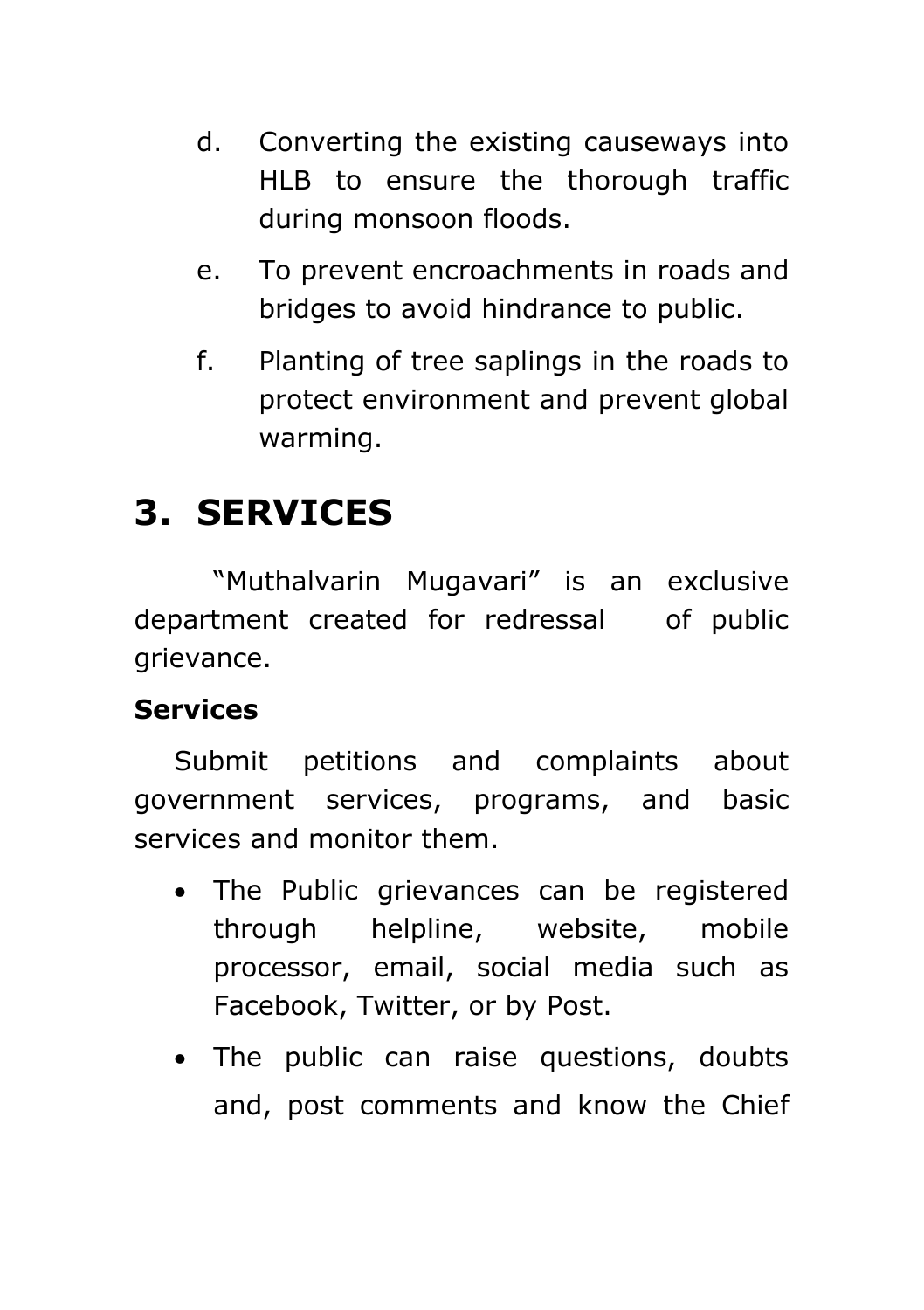- d. Converting the existing causeways into HLB to ensure the thorough traffic during monsoon floods.
- e. To prevent encroachments in roads and bridges to avoid hindrance to public.
- f. Planting of tree saplings in the roads to protect environment and prevent global warming.

#### **3. SERVICES**

"Muthalvarin Mugavari" is an exclusive department created for redressal of public grievance.

#### **Services**

Submit petitions and complaints about government services, programs, and basic services and monitor them.

- The Public grievances can be registered through helpline, website, mobile processor, email, social media such as Facebook, Twitter, or by Post.
- The public can raise questions, doubts and, post comments and know the Chief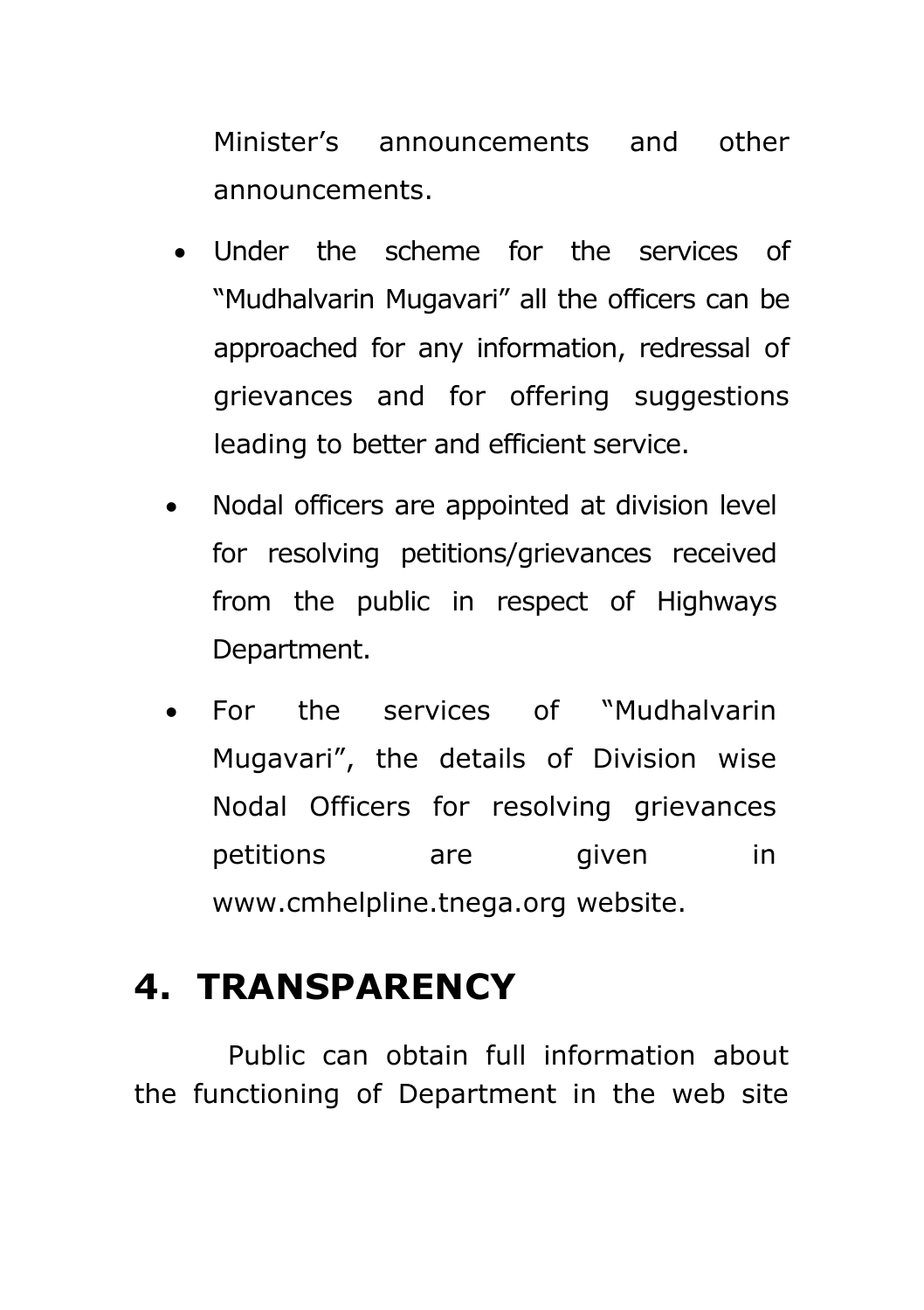Minister's announcements and other announcements.

- Under the scheme for the services of "Mudhalvarin Mugavari" all the officers can be approached for any information, redressal of grievances and for offering suggestions leading to better and efficient service.
- Nodal officers are appointed at division level for resolving petitions/grievances received from the public in respect of Highways Department.
- For the services of "Mudhalvarin Mugavari", the details of Division wise Nodal Officers for resolving grievances petitions are given in [www.cmhelpline.tnega.org](http://www.cmhelpline.tnega.org/) website.

#### **4. TRANSPARENCY**

Public can obtain full information about the functioning of Department in the web site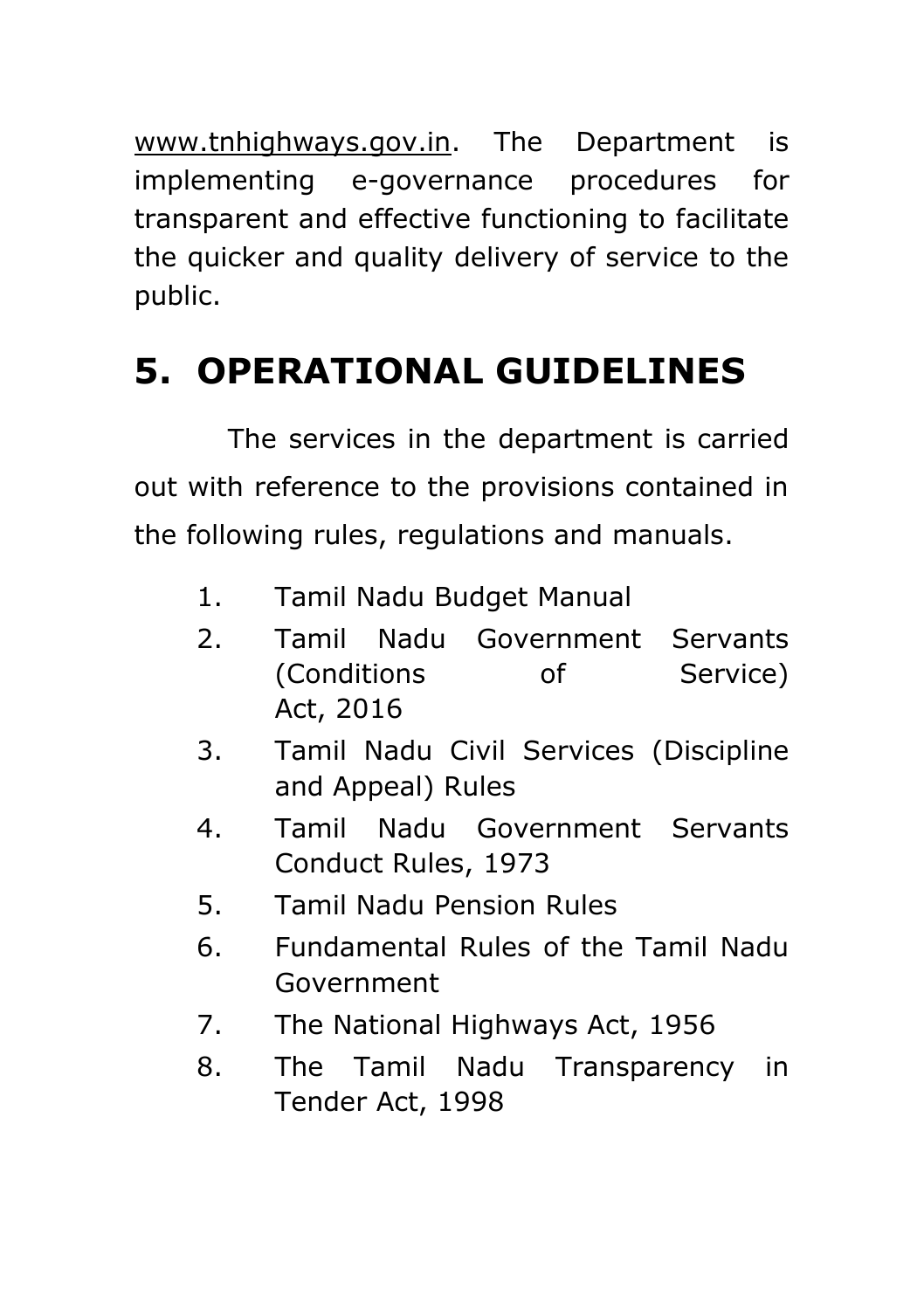[www.tnhighways.gov.in.](http://www.tnhighways.gov.in/) The Department is implementing e-governance procedures for transparent and effective functioning to facilitate the quicker and quality delivery of service to the public.

### **5. OPERATIONAL GUIDELINES**

The services in the department is carried out with reference to the provisions contained in the following rules, regulations and manuals.

- 1. Tamil Nadu Budget Manual
- 2. Tamil Nadu Government Servants (Conditions of Service) Act, 2016
- 3. Tamil Nadu Civil Services (Discipline and Appeal) Rules
- 4. Tamil Nadu Government Servants Conduct Rules, 1973
- 5. Tamil Nadu Pension Rules
- 6. Fundamental Rules of the Tamil Nadu Government
- 7. The National Highways Act, 1956
- 8. The Tamil Nadu Transparency in Tender Act, 1998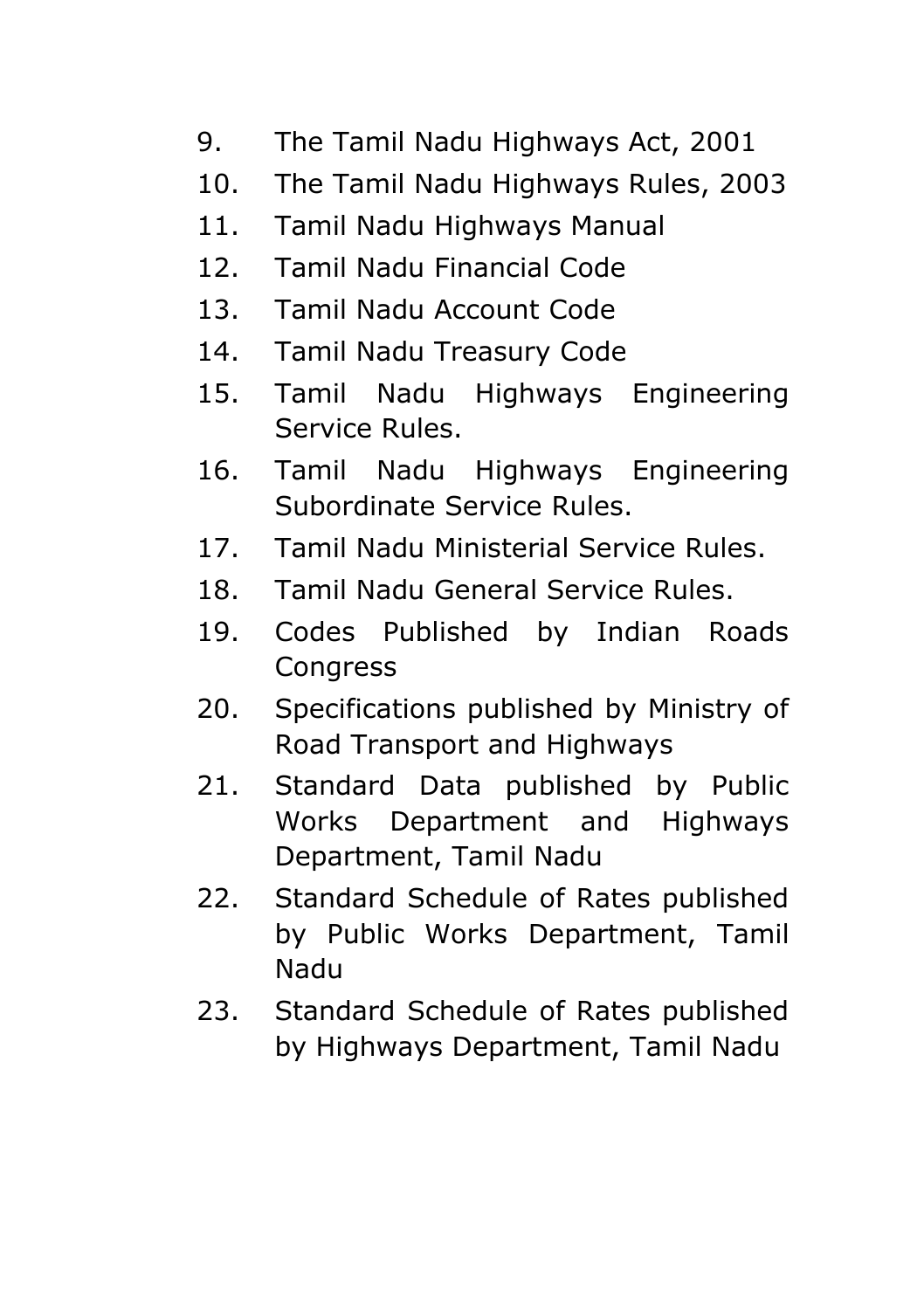- 9. The Tamil Nadu Highways Act, 2001
- 10. The Tamil Nadu Highways Rules, 2003
- 11. Tamil Nadu Highways Manual
- 12. Tamil Nadu Financial Code
- 13. Tamil Nadu Account Code
- 14. Tamil Nadu Treasury Code
- 15. Tamil Nadu Highways Engineering Service Rules.
- 16. Tamil Nadu Highways Engineering Subordinate Service Rules.
- 17. Tamil Nadu Ministerial Service Rules.
- 18. Tamil Nadu General Service Rules.
- 19. Codes Published by Indian Roads **Congress**
- 20. Specifications published by Ministry of Road Transport and Highways
- 21. Standard Data published by Public Works Department and Highways Department, Tamil Nadu
- 22. Standard Schedule of Rates published by Public Works Department, Tamil Nadu
- 23. Standard Schedule of Rates published by Highways Department, Tamil Nadu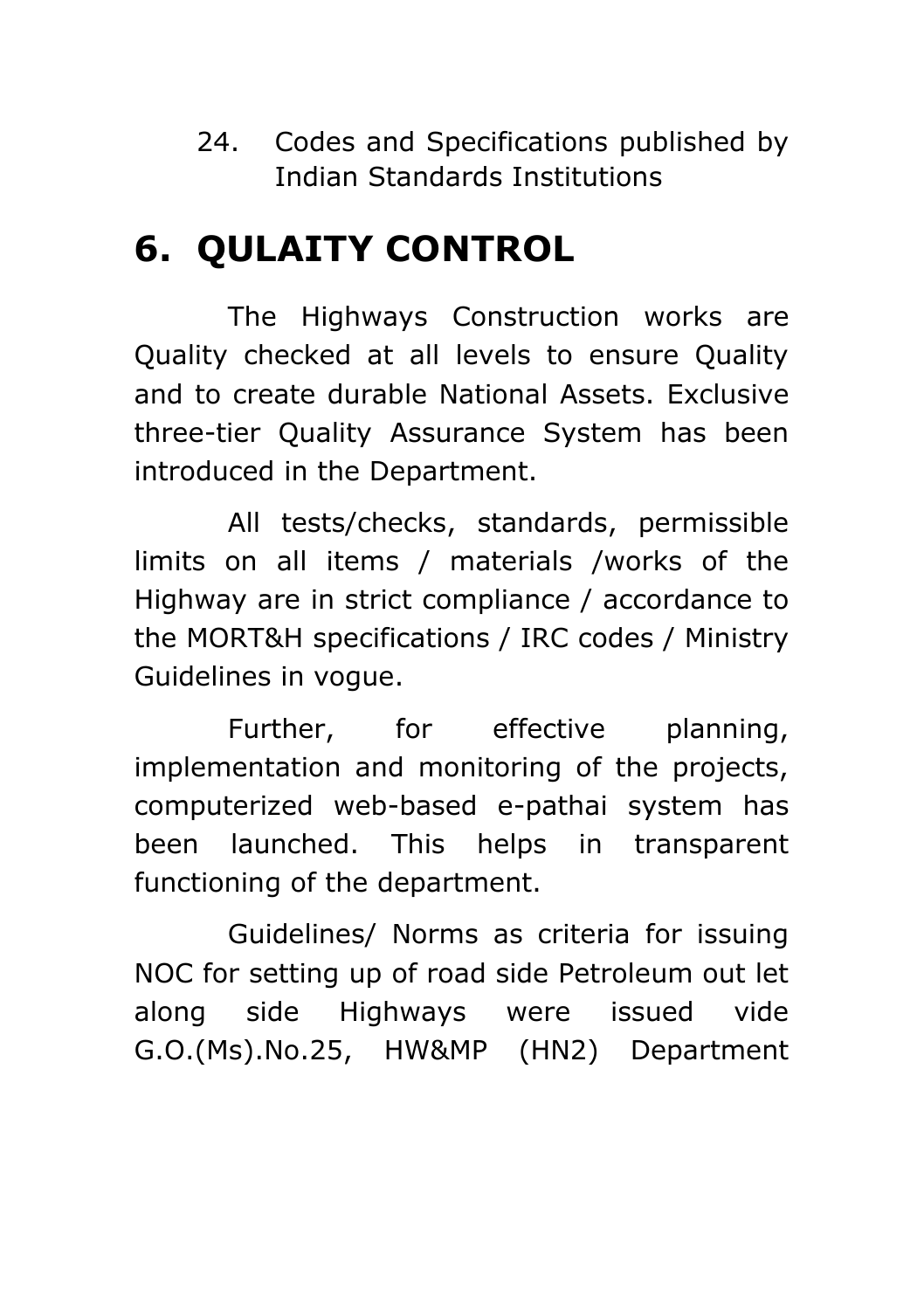24. Codes and Specifications published by Indian Standards Institutions

#### **6. QULAITY CONTROL**

The Highways Construction works are Quality checked at all levels to ensure Quality and to create durable National Assets. Exclusive three-tier Quality Assurance System has been introduced in the Department.

All tests/checks, standards, permissible limits on all items / materials /works of the Highway are in strict compliance / accordance to the MORT&H specifications / IRC codes / Ministry Guidelines in vogue.

Further, for effective planning, implementation and monitoring of the projects, computerized web-based e-pathai system has been launched. This helps in transparent functioning of the department.

Guidelines/ Norms as criteria for issuing NOC for setting up of road side Petroleum out let along side Highways were issued vide G.O.(Ms).No.25, HW&MP (HN2) Department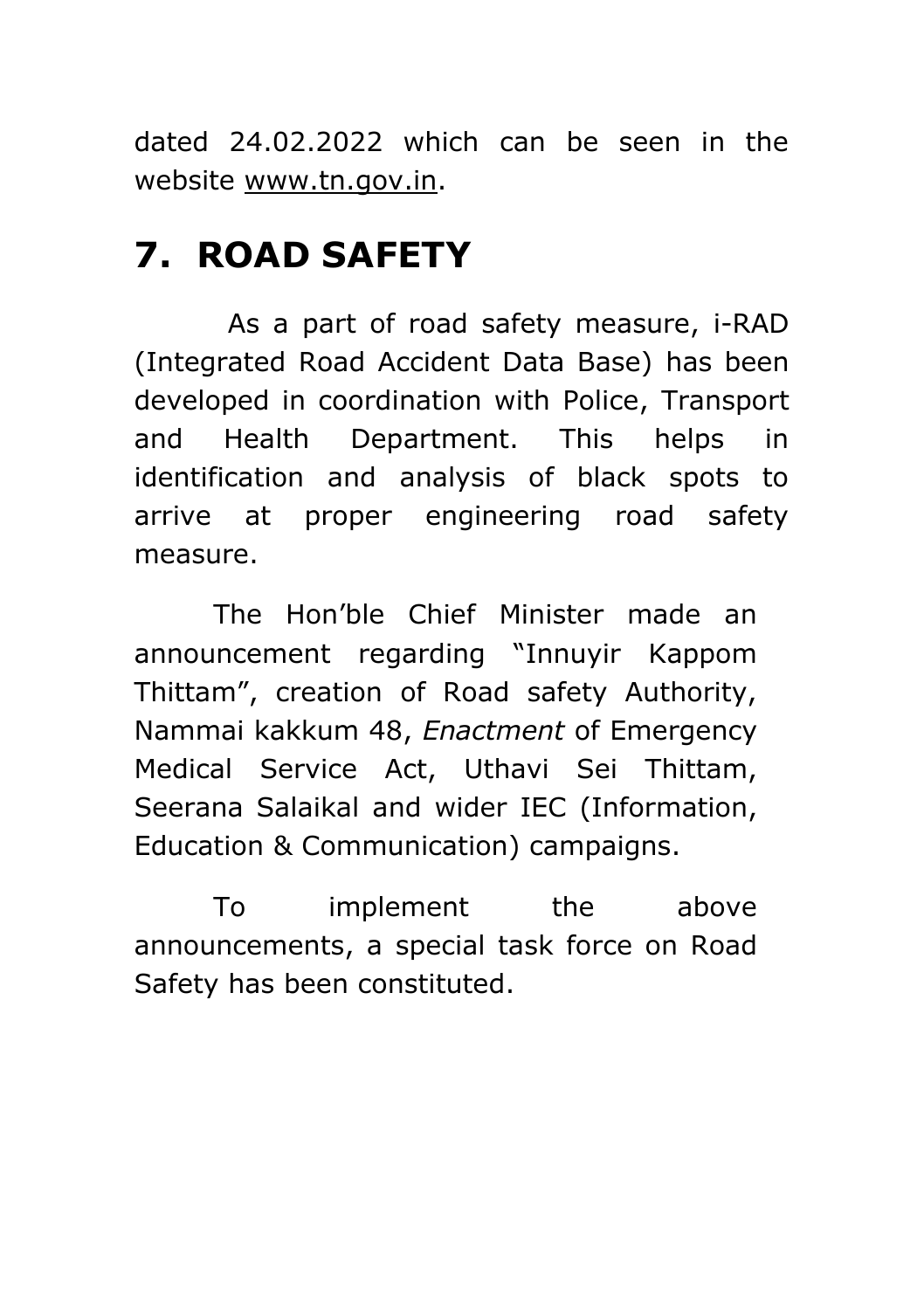dated 24.02.2022 which can be seen in the website [www.tn.gov.in.](http://www.tn.gov.in/)

#### **7. ROAD SAFETY**

As a part of road safety measure, i-RAD (Integrated Road Accident Data Base) has been developed in coordination with Police, Transport and Health Department. This helps in identification and analysis of black spots to arrive at proper engineering road safety measure.

The Hon'ble Chief Minister made an announcement regarding "Innuyir Kappom Thittam", creation of Road safety Authority, Nammai kakkum 48, *Enactment* of Emergency Medical Service Act, Uthavi Sei Thittam, Seerana Salaikal and wider IEC (Information, Education & Communication) campaigns.

To implement the above announcements, a special task force on Road Safety has been constituted.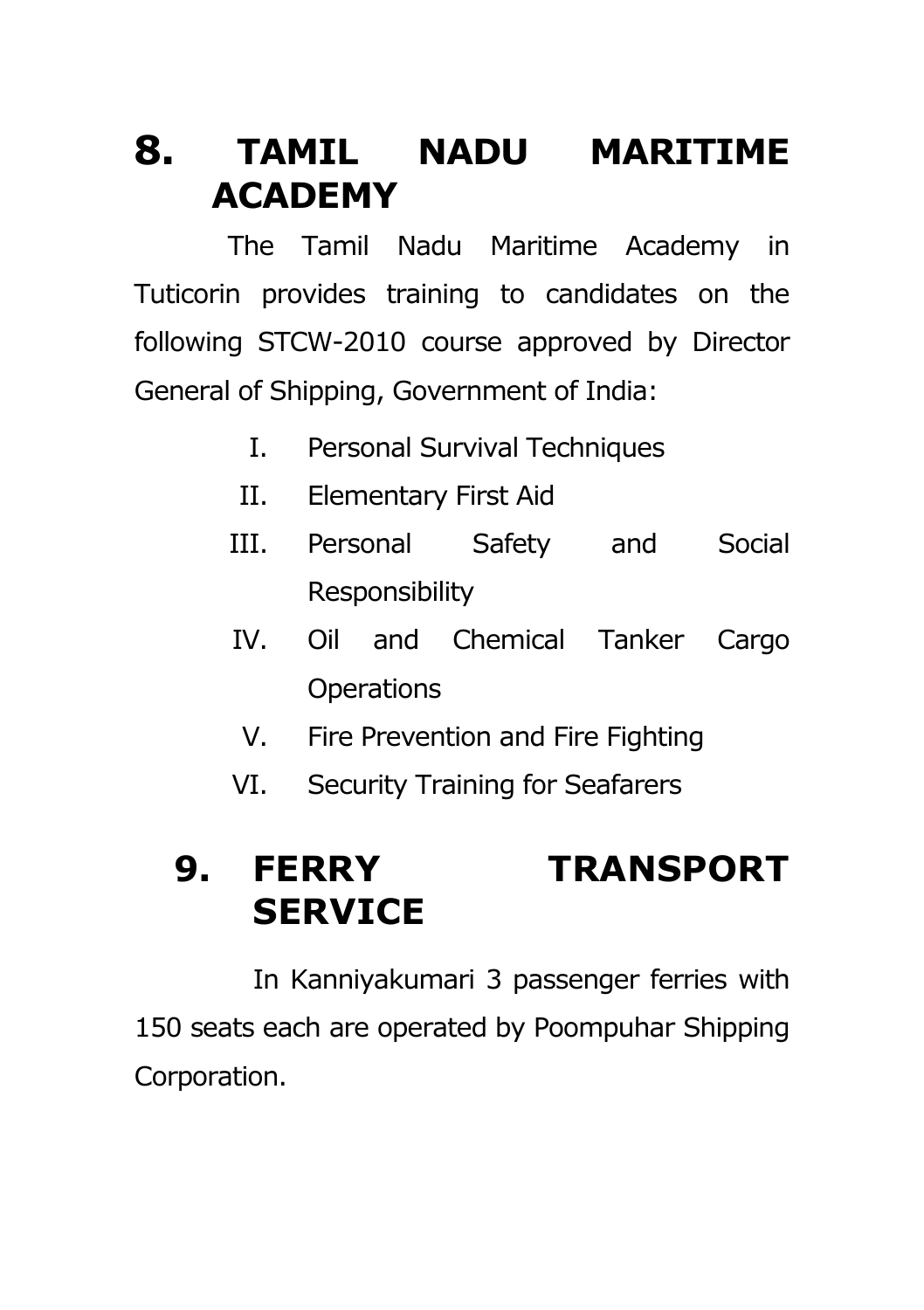#### **8. TAMIL NADU MARITIME ACADEMY**

The Tamil Nadu Maritime Academy in Tuticorin provides training to candidates on the following STCW-2010 course approved by Director General of Shipping, Government of India:

- I. Personal Survival Techniques
- II. Elementary First Aid
- III. Personal Safety and Social Responsibility
- IV. Oil and Chemical Tanker Cargo **Operations** 
	- V. Fire Prevention and Fire Fighting
- VI. Security Training for Seafarers

#### **9. FERRY TRANSPORT SERVICE**

In Kanniyakumari 3 passenger ferries with 150 seats each are operated by Poompuhar Shipping Corporation.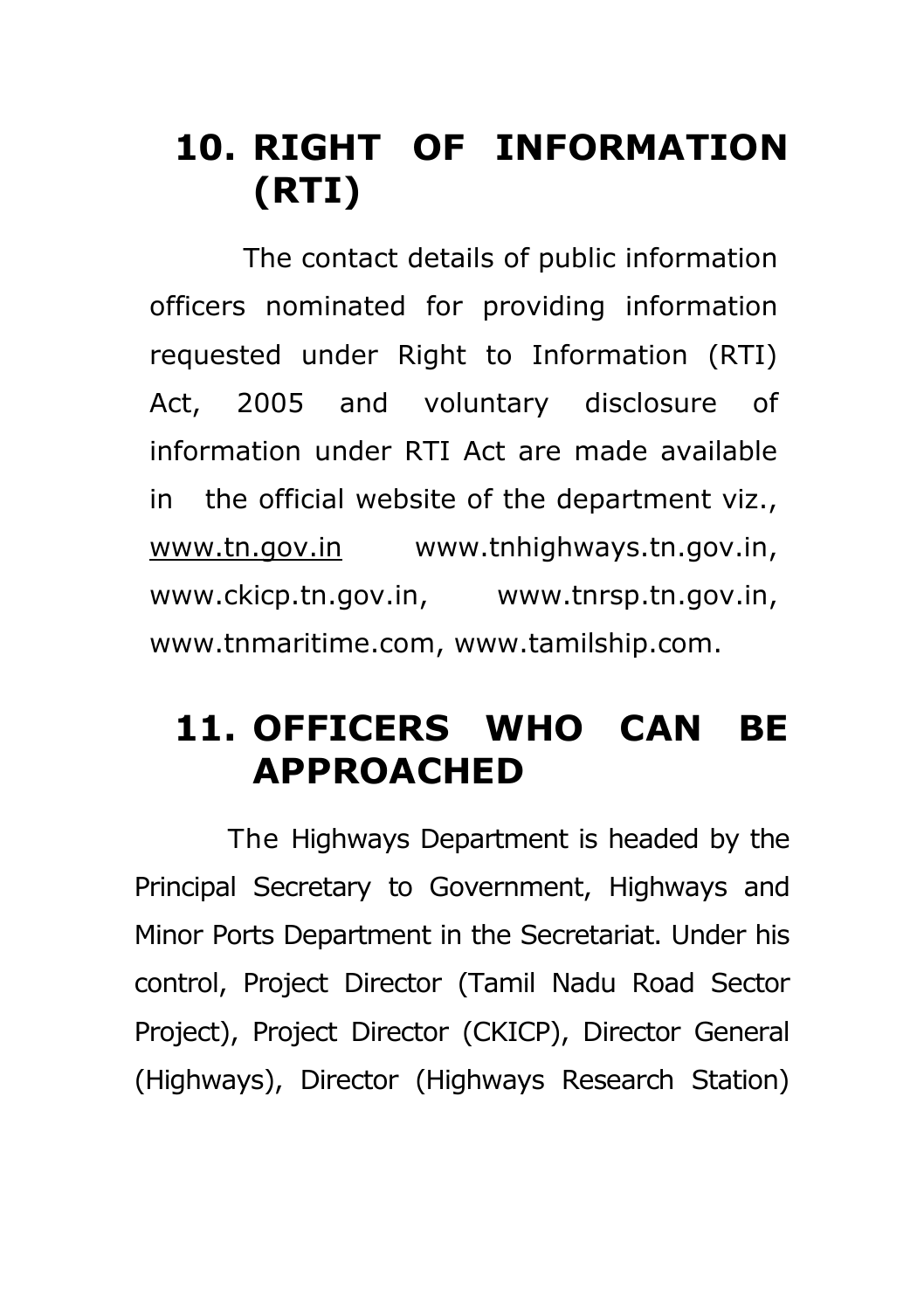### **10. RIGHT OF INFORMATION (RTI)**

The contact details of public information officers nominated for providing information requested under Right to Information (RTI) Act, 2005 and voluntary disclosure of information under RTI Act are made available in the official website of the department viz., [www.tn.gov.in](http://www.tn.gov.in/) [www.tnhighways.tn.gov.in,](http://www.tnhighways.tn.gov.in/) [www.ckicp.tn.gov.in,](http://www.ckicp.tn.gov.in/) [www.tnrsp.tn.gov.in,](http://www.tnrsp.tn.gov.in/) [www.tnmaritime.com,](http://www.tnmaritime.com/) [www.tamilship.com.](http://www.tamilship.com/)

#### **11. OFFICERS WHO CAN BE APPROACHED**

The Highways Department is headed by the Principal Secretary to Government, Highways and Minor Ports Department in the Secretariat. Under his control, Project Director (Tamil Nadu Road Sector Project), Project Director (CKICP), Director General (Highways), Director (Highways Research Station)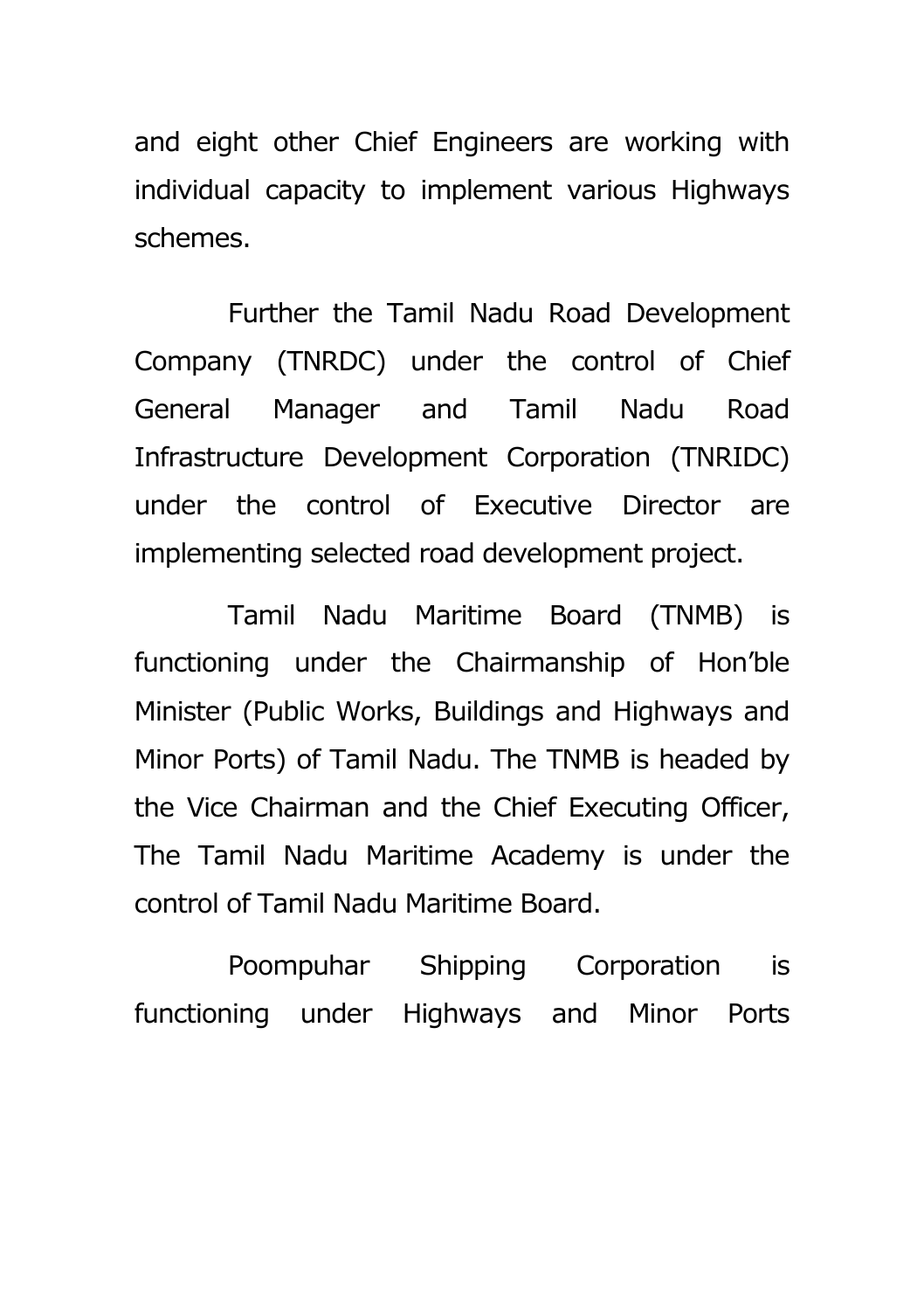and eight other Chief Engineers are working with individual capacity to implement various Highways schemes.

Further the Tamil Nadu Road Development Company (TNRDC) under the control of Chief General Manager and Tamil Nadu Road Infrastructure Development Corporation (TNRIDC) under the control of Executive Director are implementing selected road development project.

Tamil Nadu Maritime Board (TNMB) is functioning under the Chairmanship of Hon'ble Minister (Public Works, Buildings and Highways and Minor Ports) of Tamil Nadu. The TNMB is headed by the Vice Chairman and the Chief Executing Officer, The Tamil Nadu Maritime Academy is under the control of Tamil Nadu Maritime Board.

Poompuhar Shipping Corporation is functioning under Highways and Minor Ports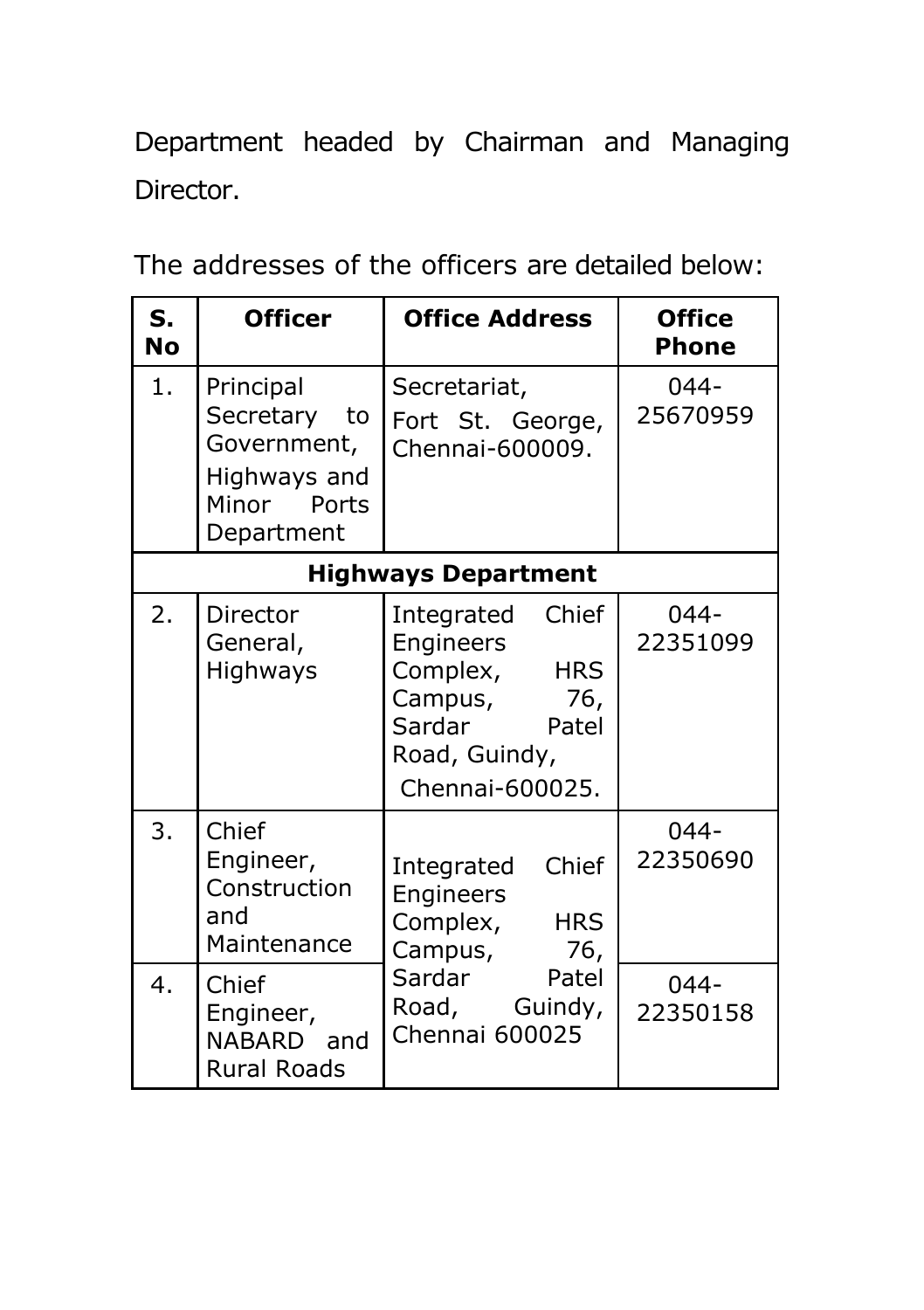Department headed by Chairman and Managing Director.

The addresses of the officers are detailed below:

| S.<br>No | <b>Officer</b>                                                                        | <b>Office Address</b>                                                                                                               | <b>Office</b><br><b>Phone</b> |
|----------|---------------------------------------------------------------------------------------|-------------------------------------------------------------------------------------------------------------------------------------|-------------------------------|
| 1.       | Principal<br>Secretary to<br>Government,<br>Highways and<br>Minor Ports<br>Department | Secretariat,<br>Fort St. George,<br>Chennai-600009.                                                                                 | $044 -$<br>25670959           |
|          |                                                                                       | <b>Highways Department</b>                                                                                                          |                               |
| 2.       | Director<br>General,<br>Highways                                                      | Chief<br>Integrated<br>Engineers<br>Complex,<br><b>HRS</b><br>Campus,<br>76,<br>Sardar<br>Patel<br>Road, Guindy,<br>Chennai-600025. | $044 -$<br>22351099           |
| 3.       | Chief<br>Engineer,<br>Construction<br>and<br>Maintenance                              | Chief<br>Integrated<br>Engineers<br>Complex,<br><b>HRS</b><br>Campus,<br>76,                                                        | $044 -$<br>22350690           |
| 4.       | Chief<br>Engineer,<br>NABARD and<br><b>Rural Roads</b>                                | Sardar<br>Patel<br>Road, Guindy,<br>Chennai 600025                                                                                  | $044 -$<br>22350158           |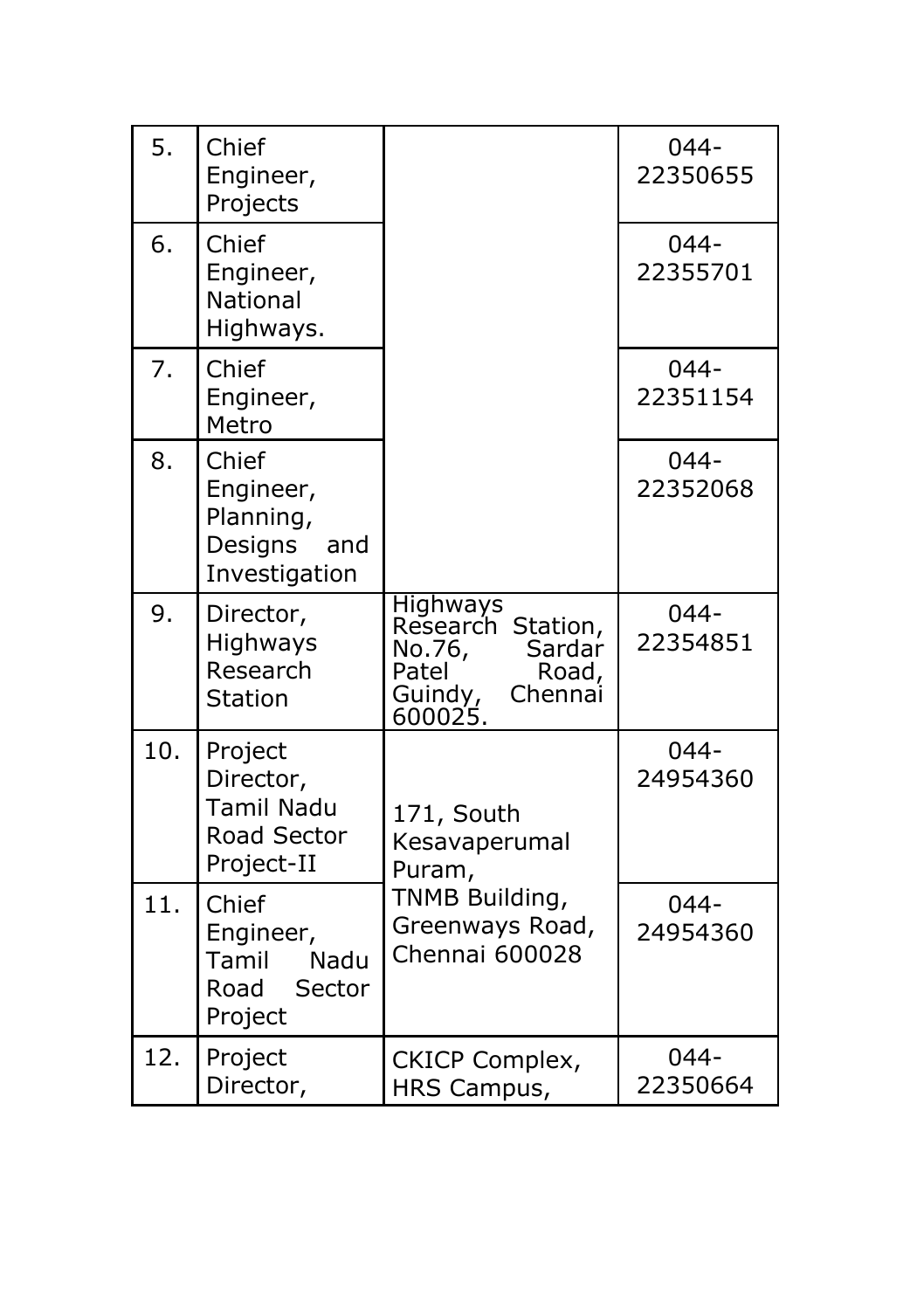| 5.  | Chief<br>Engineer,<br>Projects                                     |                                                                                                             | $044 -$<br>22350655 |
|-----|--------------------------------------------------------------------|-------------------------------------------------------------------------------------------------------------|---------------------|
| 6.  | Chief<br>Engineer,<br><b>National</b><br>Highways.                 |                                                                                                             | $044 -$<br>22355701 |
| 7.  | Chief<br>Engineer,<br>Metro                                        |                                                                                                             | $044 -$<br>22351154 |
| 8.  | Chief<br>Engineer,<br>Planning,<br>Designs<br>and<br>Investigation |                                                                                                             | $044 -$<br>22352068 |
| 9.  | Director,<br>Highways<br>Research<br><b>Station</b>                | <b>Highways</b><br>Research Station,<br>Sardar<br>No.76,<br>Patel<br>Road,<br>Guindy,<br>Chennai<br>600025. | $044 -$<br>22354851 |
| 10. | Project<br>Director,<br>Tamil Nadu<br>Road Sector<br>Project-II    | 171, South<br>Kesavaperumal<br>Puram,                                                                       | $044 -$<br>24954360 |
| 11. | Chief<br>Engineer,<br>Tamil<br>Nadu<br>Sector<br>Road<br>Project   | TNMB Building,<br>Greenways Road,<br>Chennai 600028                                                         | $044 -$<br>24954360 |
| 12. | Project<br>Director,                                               | <b>CKICP Complex,</b><br>HRS Campus,                                                                        | $044 -$<br>22350664 |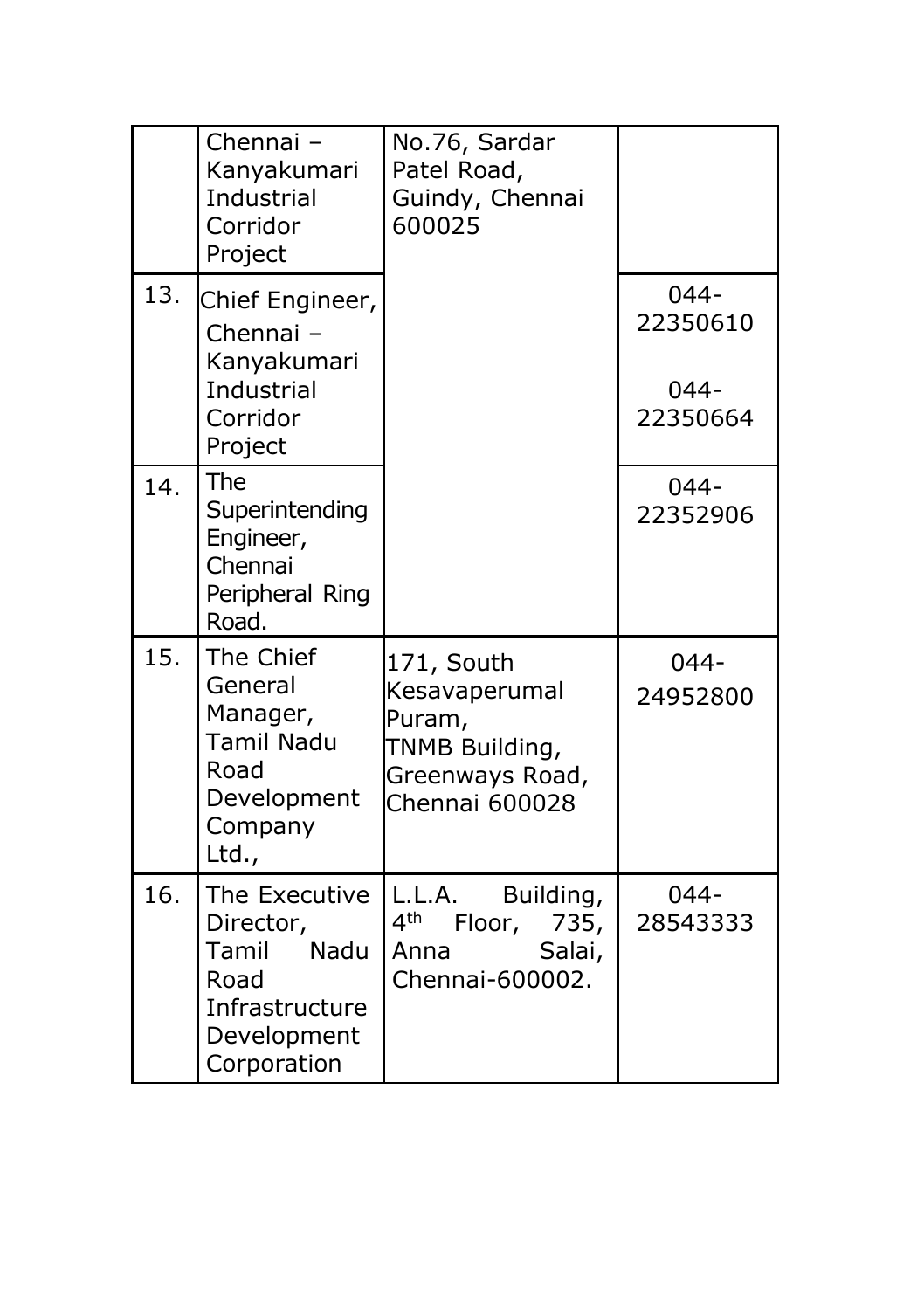|     | Chennai-<br>Kanyakumari<br>Industrial<br>Corridor<br>Project                                        | No.76, Sardar<br>Patel Road,<br>Guindy, Chennai<br>600025                                     |                                            |
|-----|-----------------------------------------------------------------------------------------------------|-----------------------------------------------------------------------------------------------|--------------------------------------------|
| 13. | Chief Engineer,<br>Chennai-<br>Kanyakumari<br>Industrial<br>Corridor<br>Project                     |                                                                                               | $044 -$<br>22350610<br>$044 -$<br>22350664 |
| 14. | The<br>Superintending<br>Engineer,<br>Chennai<br>Peripheral Ring<br>Road.                           |                                                                                               | $044 -$<br>22352906                        |
| 15. | The Chief<br>General<br>Manager,<br><b>Tamil Nadu</b><br>Road<br>Development<br>Company<br>Ltd.,    | 171, South<br>Kesavaperumal<br>Puram,<br>TNMB Building,<br>Greenways Road,<br>Chennai 600028  | $044 -$<br>24952800                        |
| 16. | The Executive<br>Director,<br>Nadu<br>Tamil<br>Road<br>Infrastructure<br>Development<br>Corporation | L.L.A.<br>Building,<br>4 <sup>th</sup><br>Floor,<br>735,<br>Salai,<br>Anna<br>Chennai-600002. | $044 -$<br>28543333                        |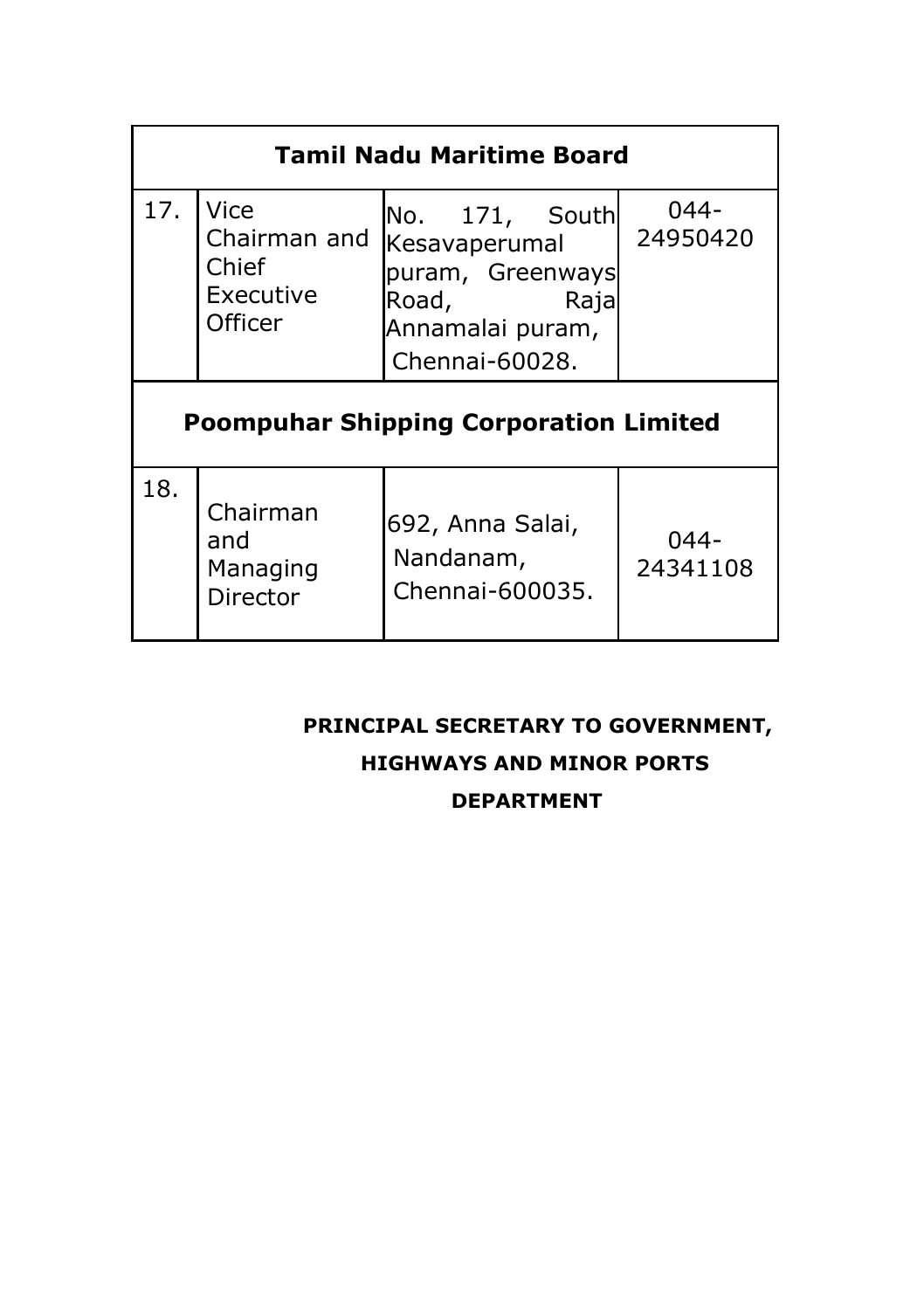| <b>Tamil Nadu Maritime Board</b>              |                                                       |                                                                                                            |                  |  |  |  |
|-----------------------------------------------|-------------------------------------------------------|------------------------------------------------------------------------------------------------------------|------------------|--|--|--|
| 17.                                           | Vice<br>Chairman and<br>Chief<br>Executive<br>Officer | No. 171, South<br>Kesavaperumal<br>puram, Greenways<br>Road,<br>Raja<br>Annamalai puram,<br>Chennai-60028. | 044-<br>24950420 |  |  |  |
| <b>Poompuhar Shipping Corporation Limited</b> |                                                       |                                                                                                            |                  |  |  |  |
| 18.                                           | Chairman<br>and<br>Managing<br>Director               | 692, Anna Salai,<br>Nandanam,<br>Chennai-600035.                                                           | 044-<br>24341108 |  |  |  |

#### **PRINCIPAL SECRETARY TO GOVERNMENT,**

#### **HIGHWAYS AND MINOR PORTS**

#### **DEPARTMENT**